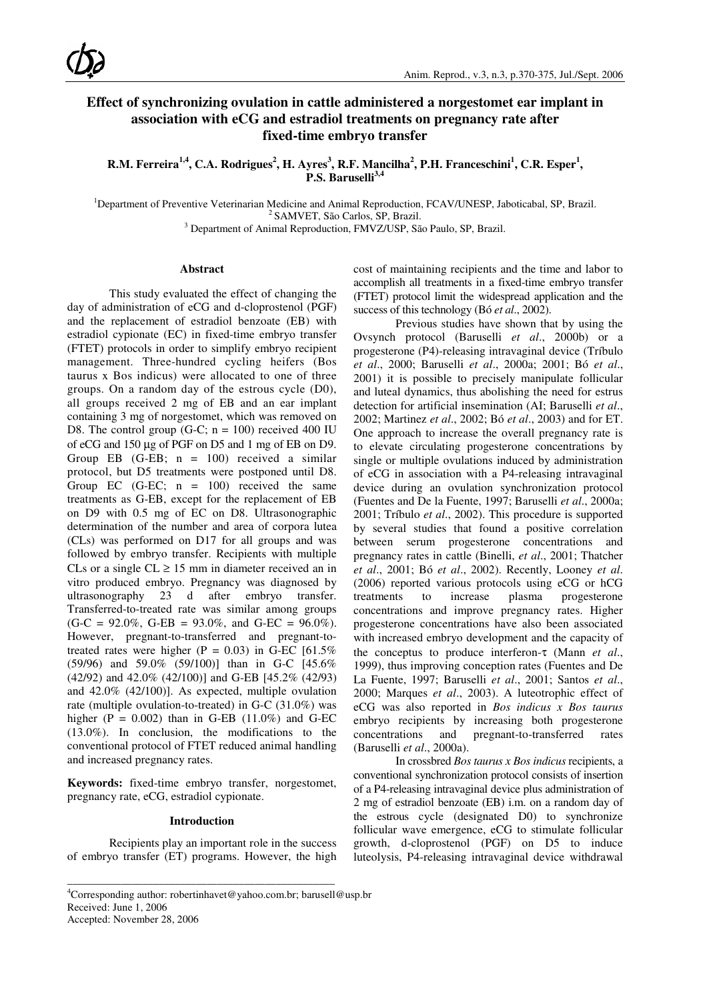# **Effect of synchronizing ovulation in cattle administered a norgestomet ear implant in association with eCG and estradiol treatments on pregnancy rate after fixed-time embryo transfer**

 $R.M.$  Ferreira $^{1,4}$ , C.A. Rodrigues $^2$ , H. Ayres $^3$ , R.F. Mancilha $^2$ , P.H. Franceschini $^1$ , C.R. Esper $^1$ , **P.S. Baruselli3,4**

<sup>1</sup>Department of Preventive Veterinarian Medicine and Animal Reproduction, FCAV/UNESP, Jaboticabal, SP, Brazil. <sup>2</sup> SAMVET, São Carlos, SP, Brazil.

<sup>3</sup> Department of Animal Reproduction, FMVZ/USP, São Paulo, SP, Brazil.

### **Abstract**

This study evaluated the effect of changing the day of administration of eCG and d-cloprostenol (PGF) and the replacement of estradiol benzoate (EB) with estradiol cypionate (EC) in fixed-time embryo transfer (FTET) protocols in order to simplify embryo recipient management. Three-hundred cycling heifers (Bos taurus x Bos indicus) were allocated to one of three groups. On a random day of the estrous cycle (D0), all groups received 2 mg of EB and an ear implant containing 3 mg of norgestomet, which was removed on D8. The control group (G-C;  $n = 100$ ) received 400 IU of eCG and 150 µg of PGF on D5 and 1 mg of EB on D9. Group EB  $(G-EB; n = 100)$  received a similar protocol, but D5 treatments were postponed until D8. Group EC  $(G-EC; n = 100)$  received the same treatments as G-EB, except for the replacement of EB on D9 with 0.5 mg of EC on D8. Ultrasonographic determination of the number and area of corpora lutea (CLs) was performed on D17 for all groups and was followed by embryo transfer. Recipients with multiple CLs or a single  $CL \ge 15$  mm in diameter received an in vitro produced embryo. Pregnancy was diagnosed by ultrasonography 23 d after embryo transfer. Transferred-to-treated rate was similar among groups  $(G-C = 92.0\%, G-EB = 93.0\%, and G-EC = 96.0\%$ . However, pregnant-to-transferred and pregnant-totreated rates were higher  $(P = 0.03)$  in G-EC  $[61.5\%]$ (59/96) and 59.0% (59/100)] than in G-C [45.6% (42/92) and 42.0% (42/100)] and G-EB [45.2% (42/93) and 42.0% (42/100)]. As expected, multiple ovulation rate (multiple ovulation-to-treated) in G-C (31.0%) was higher  $(P = 0.002)$  than in G-EB  $(11.0\%)$  and G-EC (13.0%). In conclusion, the modifications to the conventional protocol of FTET reduced animal handling and increased pregnancy rates.

**Keywords:** fixed-time embryo transfer, norgestomet, pregnancy rate, eCG, estradiol cypionate.

#### **Introduction**

Recipients play an important role in the success of embryo transfer (ET) programs. However, the high

\_\_\_\_\_\_\_\_\_\_\_\_\_\_\_\_\_\_\_\_\_\_\_\_\_\_\_\_\_\_\_\_\_\_\_\_\_\_\_\_\_\_\_\_\_\_\_\_\_\_

cost of maintaining recipients and the time and labor to accomplish all treatments in a fixed-time embryo transfer (FTET) protocol limit the widespread application and the success of this technology (Bó *et al*., 2002).

Previous studies have shown that by using the Ovsynch protocol (Baruselli *et al*., 2000b) or a progesterone (P4)-releasing intravaginal device (Tríbulo *et al*., 2000; Baruselli *et al*., 2000a; 2001; Bó *et al*., 2001) it is possible to precisely manipulate follicular and luteal dynamics, thus abolishing the need for estrus detection for artificial insemination (AI; Baruselli *et al*., 2002; Martinez *et al*., 2002; Bó *et al*., 2003) and for ET. One approach to increase the overall pregnancy rate is to elevate circulating progesterone concentrations by single or multiple ovulations induced by administration of eCG in association with a P4-releasing intravaginal device during an ovulation synchronization protocol (Fuentes and De la Fuente, 1997; Baruselli *et al*., 2000a; 2001; Tríbulo *et al*., 2002). This procedure is supported by several studies that found a positive correlation between serum progesterone concentrations and pregnancy rates in cattle (Binelli, *et al*., 2001; Thatcher *et al*., 2001; Bó *et al*., 2002). Recently, Looney *et al*. (2006) reported various protocols using eCG or hCG treatments to increase plasma progesterone concentrations and improve pregnancy rates. Higher progesterone concentrations have also been associated with increased embryo development and the capacity of the conceptus to produce interferon-τ (Mann *et al*., 1999), thus improving conception rates (Fuentes and De La Fuente, 1997; Baruselli *et al*., 2001; Santos *et al*., 2000; Marques *et al*., 2003). A luteotrophic effect of eCG was also reported in *Bos indicus x Bos taurus* embryo recipients by increasing both progesterone concentrations and pregnant-to-transferred rates (Baruselli *et al*., 2000a).

In crossbred *Bos taurus x Bos indicus* recipients, a conventional synchronization protocol consists of insertion of a P4-releasing intravaginal device plus administration of 2 mg of estradiol benzoate (EB) i.m. on a random day of the estrous cycle (designated D0) to synchronize follicular wave emergence, eCG to stimulate follicular growth, d-cloprostenol (PGF) on D5 to induce luteolysis, P4-releasing intravaginal device withdrawal

<sup>4</sup>Corresponding author: robertinhavet@yahoo.com.br; barusell@usp.br Received: June 1, 2006 Accepted: November 28, 2006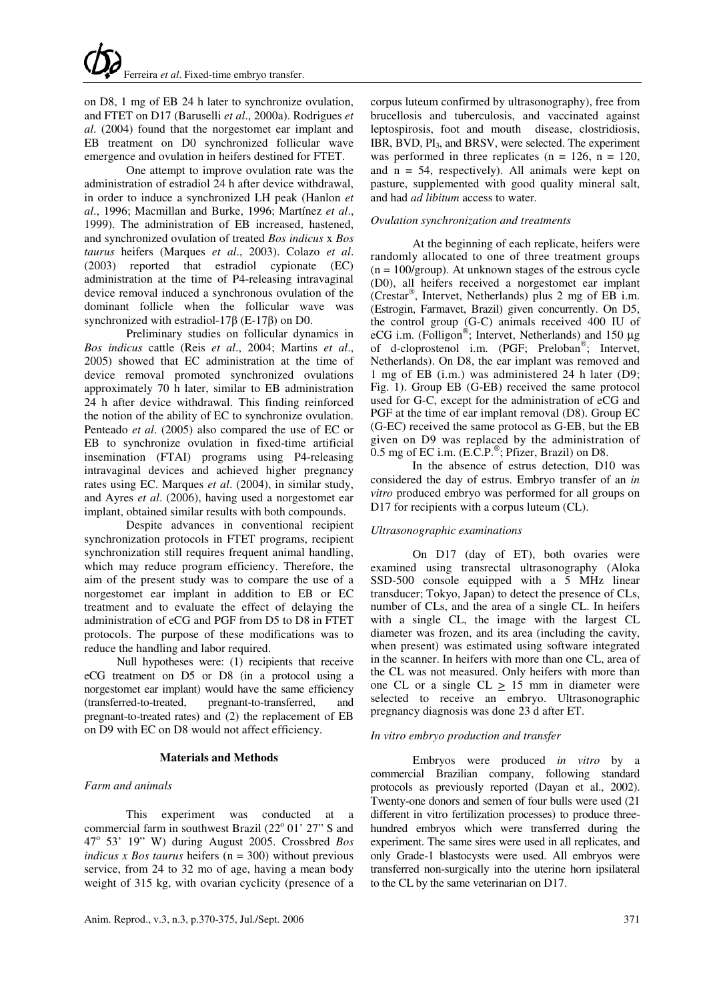on D8, 1 mg of EB 24 h later to synchronize ovulation, and FTET on D17 (Baruselli *et al*., 2000a). Rodrigues *et al*. (2004) found that the norgestomet ear implant and EB treatment on D0 synchronized follicular wave emergence and ovulation in heifers destined for FTET.

One attempt to improve ovulation rate was the administration of estradiol 24 h after device withdrawal, in order to induce a synchronized LH peak (Hanlon *et al*., 1996; Macmillan and Burke, 1996; Martínez *et al*., 1999). The administration of EB increased, hastened, and synchronized ovulation of treated *Bos indicus* x *Bos taurus* heifers (Marques *et al*., 2003). Colazo *et al*. (2003) reported that estradiol cypionate (EC) administration at the time of P4-releasing intravaginal device removal induced a synchronous ovulation of the dominant follicle when the follicular wave was synchronized with estradiol-17β (E-17β) on D0.

Preliminary studies on follicular dynamics in *Bos indicus* cattle (Reis *et al*., 2004; Martins *et al*., 2005) showed that EC administration at the time of device removal promoted synchronized ovulations approximately 70 h later, similar to EB administration 24 h after device withdrawal. This finding reinforced the notion of the ability of EC to synchronize ovulation. Penteado *et al*. (2005) also compared the use of EC or EB to synchronize ovulation in fixed-time artificial insemination (FTAI) programs using P4-releasing intravaginal devices and achieved higher pregnancy rates using EC. Marques *et al*. (2004), in similar study, and Ayres *et al*. (2006), having used a norgestomet ear implant, obtained similar results with both compounds.

Despite advances in conventional recipient synchronization protocols in FTET programs, recipient synchronization still requires frequent animal handling, which may reduce program efficiency. Therefore, the aim of the present study was to compare the use of a norgestomet ear implant in addition to EB or EC treatment and to evaluate the effect of delaying the administration of eCG and PGF from D5 to D8 in FTET protocols. The purpose of these modifications was to reduce the handling and labor required.

Null hypotheses were: (1) recipients that receive eCG treatment on D5 or D8 (in a protocol using a norgestomet ear implant) would have the same efficiency (transferred-to-treated, pregnant-to-transferred, and pregnant-to-treated rates) and (2) the replacement of EB on D9 with EC on D8 would not affect efficiency.

## **Materials and Methods**

## *Farm and animals*

This experiment was conducted at a commercial farm in southwest Brazil (22° 01' 27" S and 47<sup>o</sup> 53' 19" W) during August 2005. Crossbred *Bos indicus x Bos taurus* heifers (n = 300) without previous service, from 24 to 32 mo of age, having a mean body weight of 315 kg, with ovarian cyclicity (presence of a

corpus luteum confirmed by ultrasonography), free from brucellosis and tuberculosis, and vaccinated against leptospirosis, foot and mouth disease, clostridiosis, IBR, BVD,  $PI_3$ , and BRSV, were selected. The experiment was performed in three replicates ( $n = 126$ ,  $n = 120$ , and  $n = 54$ , respectively). All animals were kept on pasture, supplemented with good quality mineral salt, and had *ad libitum* access to water*.*

#### *Ovulation synchronization and treatments*

At the beginning of each replicate, heifers were randomly allocated to one of three treatment groups  $(n = 100/\text{group})$ . At unknown stages of the estrous cycle (D0), all heifers received a norgestomet ear implant (Crestar , Intervet, Netherlands) plus 2 mg of EB i.m. (Estrogin, Farmavet, Brazil) given concurrently. On D5, the control group (G-C) animals received 400 IU of eCG i.m. (Folligon®; Intervet, Netherlands) and 150  $\mu$ g of d-cloprostenol i.m. (PGF; Preloban<sup>®</sup>; Intervet, Netherlands). On D8, the ear implant was removed and 1 mg of EB (i.m.) was administered 24 h later (D9; Fig. 1). Group EB (G-EB) received the same protocol used for G-C, except for the administration of eCG and PGF at the time of ear implant removal (D8). Group EC (G-EC) received the same protocol as G-EB, but the EB given on D9 was replaced by the administration of  $0.5$  mg of EC i.m. (E.C.P. $\degree$ ; Pfizer, Brazil) on D8.

In the absence of estrus detection, D10 was considered the day of estrus. Embryo transfer of an *in vitro* produced embryo was performed for all groups on D17 for recipients with a corpus luteum (CL).

## *Ultrasonographic examinations*

On D17 (day of ET), both ovaries were examined using transrectal ultrasonography (Aloka SSD-500 console equipped with a 5 MHz linear transducer; Tokyo, Japan) to detect the presence of CLs, number of CLs, and the area of a single CL. In heifers with a single CL, the image with the largest CL diameter was frozen, and its area (including the cavity, when present) was estimated using software integrated in the scanner. In heifers with more than one CL, area of the CL was not measured. Only heifers with more than one CL or a single CL  $\geq$  15 mm in diameter were selected to receive an embryo. Ultrasonographic pregnancy diagnosis was done 23 d after ET.

#### *In vitro embryo production and transfer*

Embryos were produced *in vitro* by a commercial Brazilian company, following standard protocols as previously reported (Dayan et al., 2002). Twenty-one donors and semen of four bulls were used (21 different in vitro fertilization processes) to produce threehundred embryos which were transferred during the experiment. The same sires were used in all replicates, and only Grade-1 blastocysts were used. All embryos were transferred non-surgically into the uterine horn ipsilateral to the CL by the same veterinarian on D17.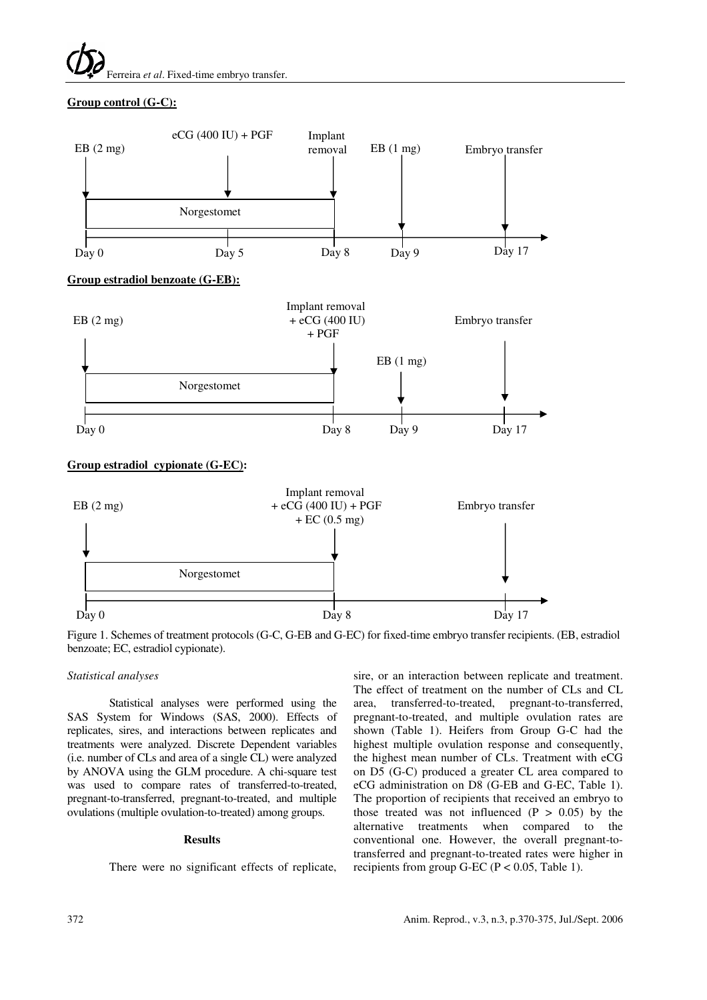Ferreira *et al*. Fixed-time embryo transfer.

## **Group control (G-C):**



Figure 1. Schemes of treatment protocols (G-C, G-EB and G-EC) for fixed-time embryo transfer recipients. (EB, estradiol benzoate; EC, estradiol cypionate).

## *Statistical analyses*

Statistical analyses were performed using the SAS System for Windows (SAS, 2000). Effects of replicates, sires, and interactions between replicates and treatments were analyzed. Discrete Dependent variables (i.e. number of CLs and area of a single CL) were analyzed by ANOVA using the GLM procedure. A chi-square test was used to compare rates of transferred-to-treated, pregnant-to-transferred, pregnant-to-treated, and multiple ovulations (multiple ovulation-to-treated) among groups.

## **Results**

There were no significant effects of replicate,

sire, or an interaction between replicate and treatment. The effect of treatment on the number of CLs and CL area, transferred-to-treated, pregnant-to-transferred, pregnant-to-treated, and multiple ovulation rates are shown (Table 1). Heifers from Group G-C had the highest multiple ovulation response and consequently, the highest mean number of CLs. Treatment with eCG on D5 (G-C) produced a greater CL area compared to eCG administration on D8 (G-EB and G-EC, Table 1). The proportion of recipients that received an embryo to those treated was not influenced  $(P > 0.05)$  by the alternative treatments when compared to the conventional one. However, the overall pregnant-totransferred and pregnant-to-treated rates were higher in recipients from group G-EC ( $P < 0.05$ , Table 1).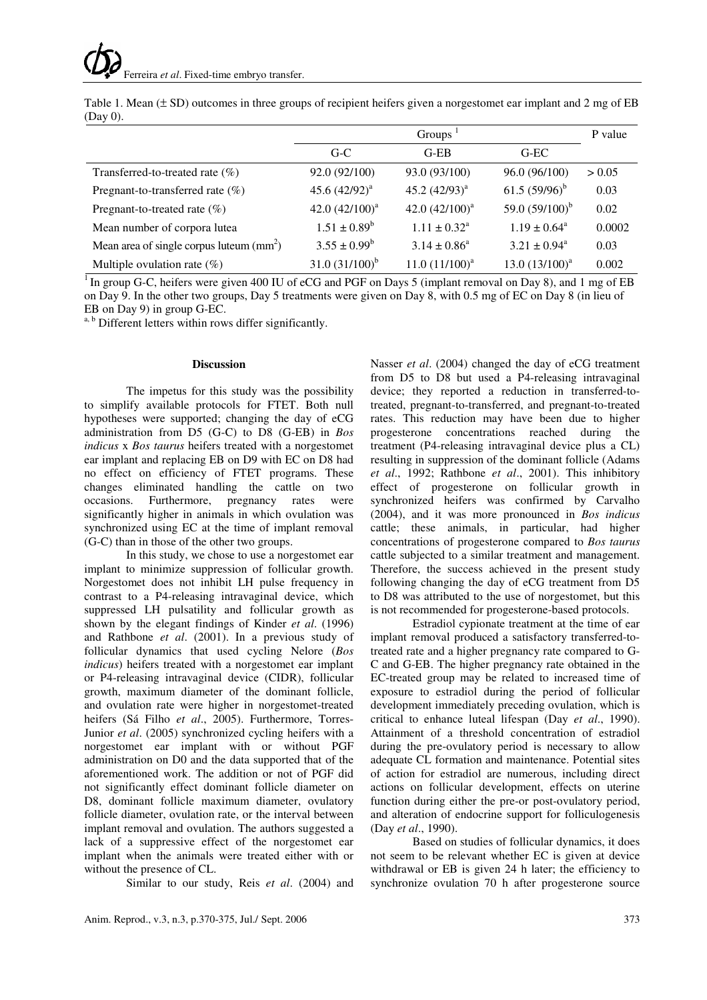|                                                     | Groups <sup>1</sup> |                            |                   | P value |
|-----------------------------------------------------|---------------------|----------------------------|-------------------|---------|
|                                                     | $G-C$               | $G-EB$                     | $G-EC$            |         |
| Transferred-to-treated rate (%)                     | 92.0 (92/100)       | 93.0 (93/100)              | 96.0 (96/100)     | > 0.05  |
| Pregnant-to-transferred rate $(\%)$                 | 45.6 $(42/92)^a$    | 45.2 $(42/93)^{a}$         | 61.5 $(59/96)^b$  | 0.03    |
| Pregnant-to-treated rate (%)                        | 42.0 $(42/100)^a$   | 42.0 $(42/100)^a$          | 59.0 $(59/100)^b$ | 0.02    |
| Mean number of corpora lutea                        | $1.51 \pm 0.89^b$   | $1.11 \pm 0.32^{\text{a}}$ | $1.19 \pm 0.64^a$ | 0.0002  |
| Mean area of single corpus luteum $\text{(mm)}^2$ ) | $3.55 \pm 0.99^b$   | $3.14 \pm 0.86^a$          | $3.21 \pm 0.94^a$ | 0.03    |
| Multiple ovulation rate $(\%)$                      | $31.0 (31/100)^b$   | $11.0 (11/100)^a$          | $13.0(13/100)^a$  | 0.002   |

Table 1. Mean (± SD) outcomes in three groups of recipient heifers given a norgestomet ear implant and 2 mg of EB (Day 0).

 $\overline{1}$ In group G-C, heifers were given 400 IU of eCG and PGF on Days 5 (implant removal on Day 8), and 1 mg of EB on Day 9. In the other two groups, Day 5 treatments were given on Day 8, with 0.5 mg of EC on Day 8 (in lieu of EB on Day 9) in group G-EC.

a, b Different letters within rows differ significantly.

#### **Discussion**

The impetus for this study was the possibility to simplify available protocols for FTET. Both null hypotheses were supported; changing the day of eCG administration from D5 (G-C) to D8 (G-EB) in *Bos indicus* x *Bos taurus* heifers treated with a norgestomet ear implant and replacing EB on D9 with EC on D8 had no effect on efficiency of FTET programs. These changes eliminated handling the cattle on two occasions. Furthermore, pregnancy rates were significantly higher in animals in which ovulation was synchronized using EC at the time of implant removal (G-C) than in those of the other two groups.

In this study, we chose to use a norgestomet ear implant to minimize suppression of follicular growth. Norgestomet does not inhibit LH pulse frequency in contrast to a P4-releasing intravaginal device, which suppressed LH pulsatility and follicular growth as shown by the elegant findings of Kinder *et al*. (1996) and Rathbone *et al*. (2001). In a previous study of follicular dynamics that used cycling Nelore (*Bos indicus*) heifers treated with a norgestomet ear implant or P4-releasing intravaginal device (CIDR), follicular growth, maximum diameter of the dominant follicle, and ovulation rate were higher in norgestomet-treated heifers (Sá Filho *et al*., 2005). Furthermore, Torres-Junior *et al*. (2005) synchronized cycling heifers with a norgestomet ear implant with or without PGF administration on D0 and the data supported that of the aforementioned work. The addition or not of PGF did not significantly effect dominant follicle diameter on D8, dominant follicle maximum diameter, ovulatory follicle diameter, ovulation rate, or the interval between implant removal and ovulation. The authors suggested a lack of a suppressive effect of the norgestomet ear implant when the animals were treated either with or without the presence of CL.

Similar to our study, Reis *et al*. (2004) and

from D5 to D8 but used a P4-releasing intravaginal device; they reported a reduction in transferred-totreated, pregnant-to-transferred, and pregnant-to-treated rates. This reduction may have been due to higher progesterone concentrations reached during the treatment (P4-releasing intravaginal device plus a CL) resulting in suppression of the dominant follicle (Adams *et al*., 1992; Rathbone *et al*., 2001). This inhibitory effect of progesterone on follicular growth in synchronized heifers was confirmed by Carvalho (2004), and it was more pronounced in *Bos indicus* cattle; these animals, in particular, had higher concentrations of progesterone compared to *Bos taurus*  cattle subjected to a similar treatment and management. Therefore, the success achieved in the present study following changing the day of eCG treatment from D5 to D8 was attributed to the use of norgestomet, but this is not recommended for progesterone-based protocols.

Nasser *et al*. (2004) changed the day of eCG treatment

Estradiol cypionate treatment at the time of ear implant removal produced a satisfactory transferred-totreated rate and a higher pregnancy rate compared to G-C and G-EB. The higher pregnancy rate obtained in the EC-treated group may be related to increased time of exposure to estradiol during the period of follicular development immediately preceding ovulation, which is critical to enhance luteal lifespan (Day *et al*., 1990). Attainment of a threshold concentration of estradiol during the pre-ovulatory period is necessary to allow adequate CL formation and maintenance. Potential sites of action for estradiol are numerous, including direct actions on follicular development, effects on uterine function during either the pre-or post-ovulatory period, and alteration of endocrine support for folliculogenesis (Day *et al*., 1990).

Based on studies of follicular dynamics, it does not seem to be relevant whether EC is given at device withdrawal or EB is given 24 h later; the efficiency to synchronize ovulation 70 h after progesterone source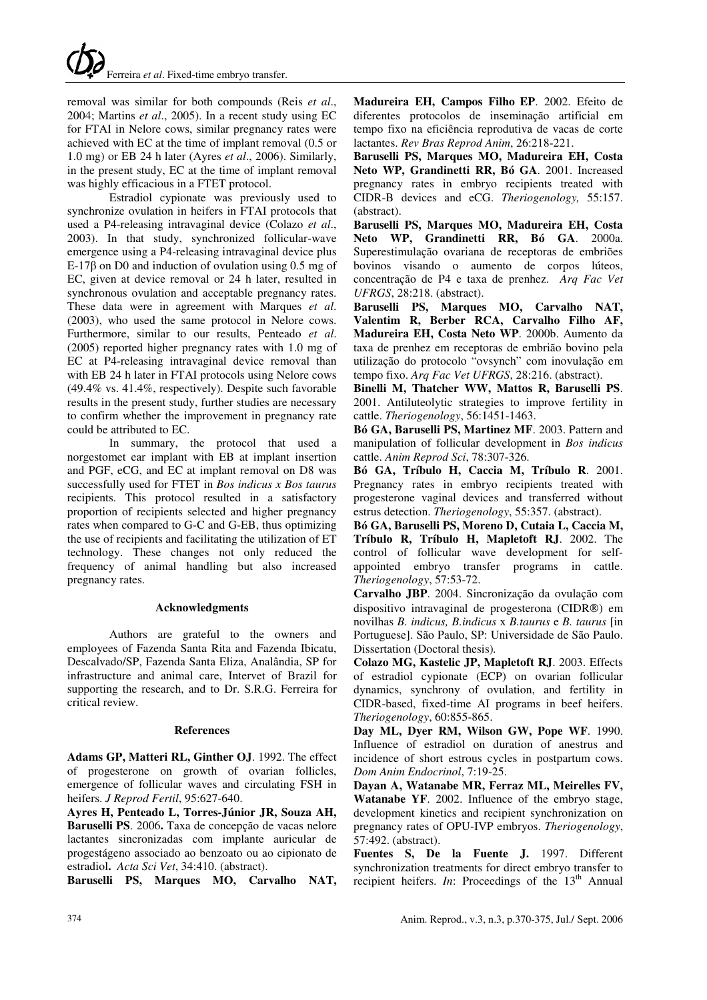removal was similar for both compounds (Reis *et al*., 2004; Martins *et al*., 2005). In a recent study using EC for FTAI in Nelore cows, similar pregnancy rates were achieved with EC at the time of implant removal (0.5 or 1.0 mg) or EB 24 h later (Ayres *et al*., 2006). Similarly, in the present study, EC at the time of implant removal was highly efficacious in a FTET protocol.

Estradiol cypionate was previously used to synchronize ovulation in heifers in FTAI protocols that used a P4-releasing intravaginal device (Colazo *et al*., 2003). In that study, synchronized follicular-wave emergence using a P4-releasing intravaginal device plus E-17 $\beta$  on D0 and induction of ovulation using 0.5 mg of EC, given at device removal or 24 h later, resulted in synchronous ovulation and acceptable pregnancy rates. These data were in agreement with Marques *et al*. (2003), who used the same protocol in Nelore cows. Furthermore, similar to our results, Penteado *et al*. (2005) reported higher pregnancy rates with 1.0 mg of EC at P4-releasing intravaginal device removal than with EB 24 h later in FTAI protocols using Nelore cows (49.4% vs. 41.4%, respectively). Despite such favorable results in the present study, further studies are necessary to confirm whether the improvement in pregnancy rate could be attributed to EC.

In summary, the protocol that used a norgestomet ear implant with EB at implant insertion and PGF, eCG, and EC at implant removal on D8 was successfully used for FTET in *Bos indicus x Bos taurus* recipients. This protocol resulted in a satisfactory proportion of recipients selected and higher pregnancy rates when compared to G-C and G-EB, thus optimizing the use of recipients and facilitating the utilization of ET technology. These changes not only reduced the frequency of animal handling but also increased pregnancy rates.

## **Acknowledgments**

Authors are grateful to the owners and employees of Fazenda Santa Rita and Fazenda Ibicatu, Descalvado/SP, Fazenda Santa Eliza, Analândia, SP for infrastructure and animal care, Intervet of Brazil for supporting the research, and to Dr. S.R.G. Ferreira for critical review.

## **References**

**Adams GP, Matteri RL, Ginther OJ**. 1992. The effect of progesterone on growth of ovarian follicles, emergence of follicular waves and circulating FSH in heifers. *J Reprod Fertil*, 95:627-640.

**Ayres H, Penteado L, Torres-Júnior JR, Souza AH, Baruselli PS**. 2006**.** Taxa de concepção de vacas nelore lactantes sincronizadas com implante auricular de progestágeno associado ao benzoato ou ao cipionato de estradiol**.** *Acta Sci Vet*, 34:410. (abstract).

**Baruselli PS, Marques MO, Carvalho NAT,** 

**Madureira EH, Campos Filho EP**. 2002. Efeito de diferentes protocolos de inseminação artificial em tempo fixo na eficiência reprodutiva de vacas de corte lactantes. *Rev Bras Reprod Anim*, 26:218-221.

**Baruselli PS, Marques MO, Madureira EH, Costa Neto WP, Grandinetti RR, Bó GA**. 2001. Increased pregnancy rates in embryo recipients treated with CIDR-B devices and eCG. *Theriogenology,* 55:157. (abstract).

**Baruselli PS, Marques MO, Madureira EH, Costa Neto WP, Grandinetti RR, Bó GA**. 2000a. Superestimulação ovariana de receptoras de embriões bovinos visando o aumento de corpos lúteos, concentração de P4 e taxa de prenhez. *Arq Fac Vet UFRGS*, 28:218. (abstract).

**Baruselli PS, Marques MO, Carvalho NAT, Valentim R, Berber RCA, Carvalho Filho AF, Madureira EH, Costa Neto WP**. 2000b. Aumento da taxa de prenhez em receptoras de embrião bovino pela utilização do protocolo "ovsynch" com inovulação em tempo fixo. *Arq Fac Vet UFRGS*, 28:216. (abstract).

**Binelli M, Thatcher WW, Mattos R, Baruselli PS**. 2001. Antiluteolytic strategies to improve fertility in cattle. *Theriogenology*, 56:1451-1463.

**Bó GA, Baruselli PS, Martinez MF**. 2003. Pattern and manipulation of follicular development in *Bos indicus* cattle. *Anim Reprod Sci*, 78:307-326.

**Bó GA, Tríbulo H, Caccia M, Tríbulo R**. 2001. Pregnancy rates in embryo recipients treated with progesterone vaginal devices and transferred without estrus detection. *Theriogenology*, 55:357. (abstract).

**Bó GA, Baruselli PS, Moreno D, Cutaia L, Caccia M, Tríbulo R, Tríbulo H, Mapletoft RJ**. 2002. The control of follicular wave development for selfappointed embryo transfer programs in cattle. *Theriogenology*, 57:53-72.

**Carvalho JBP**. 2004. Sincronização da ovulação com dispositivo intravaginal de progesterona (CIDR®) em novilhas *B. indicus, B.indicus* x *B.taurus* e *B. taurus* [in Portuguese]. São Paulo, SP: Universidade de São Paulo. Dissertation (Doctoral thesis)*.* 

**Colazo MG, Kastelic JP, Mapletoft RJ**. 2003. Effects of estradiol cypionate (ECP) on ovarian follicular dynamics, synchrony of ovulation, and fertility in CIDR-based, fixed-time AI programs in beef heifers. *Theriogenology*, 60:855-865.

**Day ML, Dyer RM, Wilson GW, Pope WF**. 1990. Influence of estradiol on duration of anestrus and incidence of short estrous cycles in postpartum cows. *Dom Anim Endocrinol*, 7:19-25.

**Dayan A, Watanabe MR, Ferraz ML, Meirelles FV, Watanabe YF**. 2002. Influence of the embryo stage, development kinetics and recipient synchronization on pregnancy rates of OPU-IVP embryos. *Theriogenology*, 57:492. (abstract).

**Fuentes S, De la Fuente J.** 1997. Different synchronization treatments for direct embryo transfer to recipient heifers. *In*: Proceedings of the 13<sup>th</sup> Annual